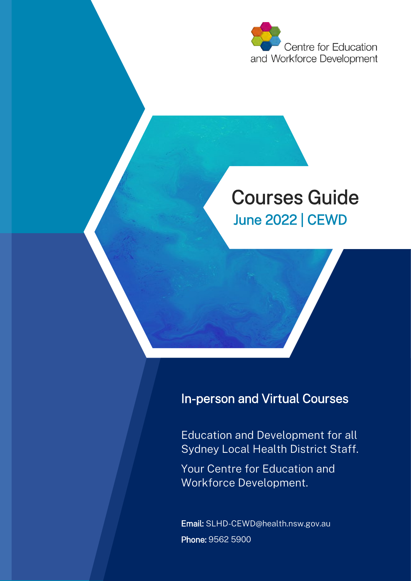

# Courses Guide June 2022 | CEWD

## In-person and Virtual Courses

Education and Development for all Sydney Local Health District Staff.

Your Centre for Education and Workforce Development.

Email: SLHD-CEWD@health.nsw.gov.au Phone: 9562 5900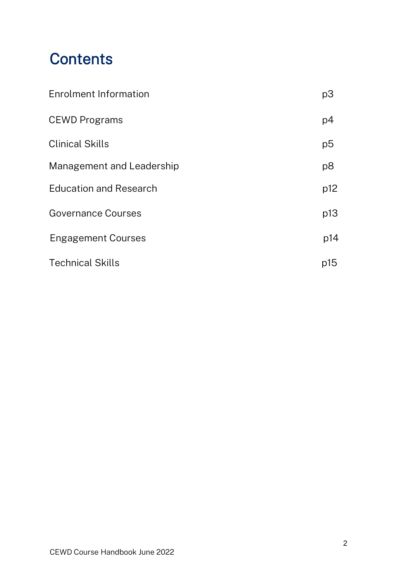# **Contents**

| <b>Enrolment Information</b>  | p3             |
|-------------------------------|----------------|
| <b>CEWD Programs</b>          | p4             |
| <b>Clinical Skills</b>        | p5             |
| Management and Leadership     | p <sub>8</sub> |
| <b>Education and Research</b> | p12            |
| <b>Governance Courses</b>     | p13            |
| <b>Engagement Courses</b>     | p14            |
| <b>Technical Skills</b>       | p15            |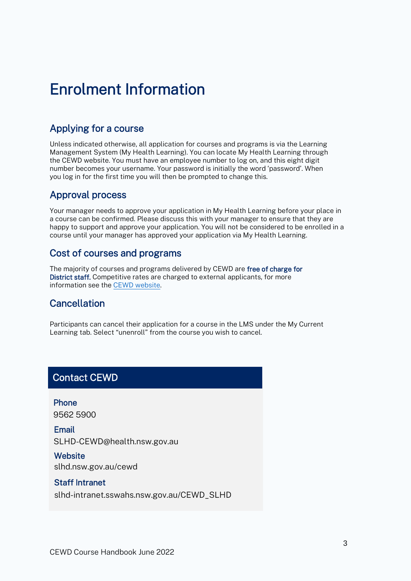# <span id="page-2-0"></span>Enrolment Information

#### Applying for a course

Unless indicated otherwise, all application for courses and programs is via the Learning Management System (My Health Learning). You can locate My Health Learning through the CEWD website. You must have an employee number to log on, and this eight digit number becomes your username. Your password is initially the word 'password'. When you log in for the first time you will then be prompted to change this.

#### Approval process

Your manager needs to approve your application in My Health Learning before your place in a course can be confirmed. Please discuss this with your manager to ensure that they are happy to support and approve your application. You will not be considered to be enrolled in a course until your manager has approved your application via My Health Learning.

#### Cost of courses and programs

The majority of courses and programs delivered by CEWD are free of charge for District staff. Competitive rates are charged to external applicants, for more information see the [CEWD website.](https://www.slhd.nsw.gov.au/cewd/external-applicants.html) 

### **Cancellation**

Participants can cancel their application for a course in the LMS under the My Current Learning tab. Select "unenroll" from the course you wish to cancel.

#### Contact CEWD

Phone 9562 5900

Email SLHD-CEWD@health.nsw.gov.au

**Website** [slhd.nsw.gov.au/cewd](https://www.slhd.nsw.gov.au/cewd/)

#### Staff Intranet

[slhd-intranet.sswahs.nsw.gov.au/CEWD\\_SLHD](slhd-intranet.sswahs.nsw.gov.au/CEWD_SLHD)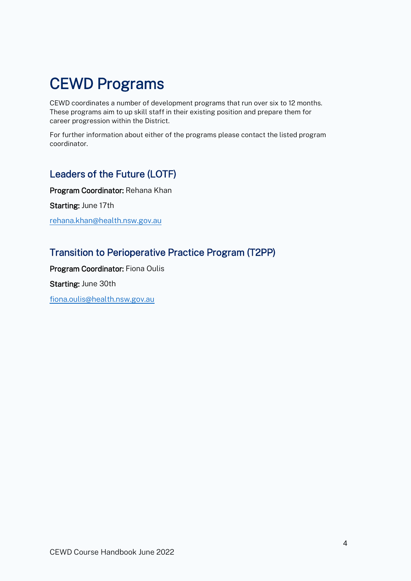# <span id="page-3-0"></span>CEWD Programs

CEWD coordinates a number of development programs that run over six to 12 months. These programs aim to up skill staff in their existing position and prepare them for career progression within the District.

For further information about either of the programs please contact the listed program coordinator.

### Leaders of the Future (LOTF)

Program Coordinator: Rehana Khan Starting: June 17th [rehana.khan@health.nsw.gov.au](mailto:rehana.khan@health.nsw.gov.au)

## Transition to Perioperative Practice Program (T2PP)

Program Coordinator: Fiona Oulis Starting: June 30th [fiona.oulis@health.nsw.gov.au](mailto:fiona.oulis@health.nsw.gov.au)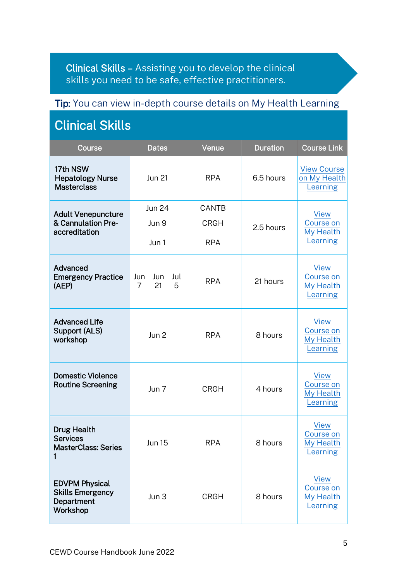<span id="page-4-0"></span>Clinical Skills – Assisting you to develop the clinical skills you need to be safe, effective practitioners.

### Tip: You can view in-depth course details on My Health Learning

| <b>Clinical Skills</b>                                                     |                       |               |          |              |                 |                                                          |  |  |
|----------------------------------------------------------------------------|-----------------------|---------------|----------|--------------|-----------------|----------------------------------------------------------|--|--|
| Course                                                                     |                       | <b>Dates</b>  |          | Venue        | <b>Duration</b> | <b>Course Link</b>                                       |  |  |
| 17th NSW<br><b>Hepatology Nurse</b><br><b>Masterclass</b>                  |                       | <b>Jun 21</b> |          | <b>RPA</b>   | 6.5 hours       | <b>View Course</b><br>on My Health<br>Learning           |  |  |
| <b>Adult Venepuncture</b>                                                  |                       | <b>Jun 24</b> |          | <b>CANTB</b> |                 | <b>View</b>                                              |  |  |
| & Cannulation Pre-<br>accreditation                                        |                       | Jun 9         |          | <b>CRGH</b>  | 2.5 hours       | Course on                                                |  |  |
|                                                                            |                       | Jun 1         |          | <b>RPA</b>   |                 | My Health<br>Learning                                    |  |  |
| Advanced<br><b>Emergency Practice</b><br>(AEP)                             | Jun<br>$\overline{7}$ | Jun<br>21     | Jul<br>5 | <b>RPA</b>   | 21 hours        | <b>View</b><br>Course on<br>My Health<br>Learning        |  |  |
| <b>Advanced Life</b><br><b>Support (ALS)</b><br>workshop                   | Jun 2                 |               |          | <b>RPA</b>   | 8 hours         | <b>View</b><br>Course on<br>My Health<br>Learning        |  |  |
| <b>Domestic Violence</b><br><b>Routine Screening</b>                       |                       | Jun 7         |          | <b>CRGH</b>  | 4 hours         | <b>View</b><br>Course on<br>My Health<br>Learning        |  |  |
| <b>Drug Health</b><br><b>Services</b><br><b>MasterClass: Series</b>        | <b>Jun 15</b>         |               |          | <b>RPA</b>   | 8 hours         | View<br>Course on<br>My Health<br>Learning               |  |  |
| <b>EDVPM Physical</b><br><b>Skills Emergency</b><br>Department<br>Workshop |                       | Jun 3         |          | <b>CRGH</b>  | 8 hours         | <b>View</b><br>Course on<br>My Health<br><b>Learning</b> |  |  |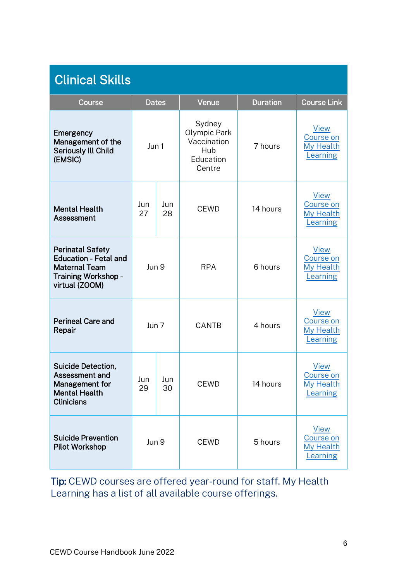| <b>Clinical Skills</b>                                                                                                   |           |              |                                                                     |                 |                                                   |  |  |
|--------------------------------------------------------------------------------------------------------------------------|-----------|--------------|---------------------------------------------------------------------|-----------------|---------------------------------------------------|--|--|
| Course                                                                                                                   |           | <b>Dates</b> | Venue                                                               | <b>Duration</b> | <b>Course Link</b>                                |  |  |
| Emergency<br>Management of the<br><b>Seriously Ill Child</b><br>(EMSIC)                                                  | Jun 1     |              | Sydney<br>Olympic Park<br>Vaccination<br>Hub<br>Education<br>Centre | 7 hours         | <b>View</b><br>Course on<br>My Health<br>Learning |  |  |
| <b>Mental Health</b><br>Assessment                                                                                       | Jun<br>27 | Jun<br>28    | <b>CEWD</b>                                                         | 14 hours        | <b>View</b><br>Course on<br>My Health<br>Learning |  |  |
| <b>Perinatal Safety</b><br><b>Education - Fetal and</b><br><b>Maternal Team</b><br>Training Workshop -<br>virtual (ZOOM) | Jun 9     |              | <b>RPA</b>                                                          | 6 hours         | <b>View</b><br>Course on<br>My Health<br>Learning |  |  |
| <b>Perineal Care and</b><br>Repair                                                                                       | Jun 7     |              | CANTB                                                               | 4 hours         | <b>View</b><br>Course on<br>My Health<br>Learning |  |  |
| Suicide Detection,<br>Assessment and<br>Management for<br><b>Mental Health</b><br><b>Clinicians</b>                      | Jun<br>29 | Jun<br>30    | <b>CEWD</b>                                                         | 14 hours        | <b>View</b><br>Course on<br>My Health<br>Learning |  |  |
| <b>Suicide Prevention</b><br><b>Pilot Workshop</b>                                                                       | Jun 9     |              | <b>CEWD</b>                                                         | 5 hours         | View<br>Course on<br>My Health<br>Learning        |  |  |

Tip: CEWD courses are offered year-round for staff. My Health Learning has a list of all available course offerings.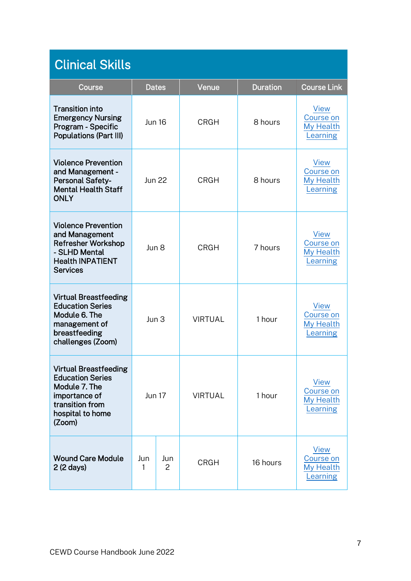| <b>Clinical Skills</b>                                                                                                                     |                 |          |                |                 |                                                   |  |  |
|--------------------------------------------------------------------------------------------------------------------------------------------|-----------------|----------|----------------|-----------------|---------------------------------------------------|--|--|
| Course                                                                                                                                     | <b>Dates</b>    |          | Venue          | <b>Duration</b> | <b>Course Link</b>                                |  |  |
| <b>Transition into</b><br><b>Emergency Nursing</b><br>Program - Specific<br><b>Populations (Part III)</b>                                  | <b>Jun 16</b>   |          | <b>CRGH</b>    | 8 hours         | <b>View</b><br>Course on<br>My Health<br>Learning |  |  |
| <b>Violence Prevention</b><br>and Management -<br><b>Personal Safety-</b><br><b>Mental Health Staff</b><br><b>ONLY</b>                     | <b>Jun 22</b>   |          | <b>CRGH</b>    | 8 hours         | <b>View</b><br>Course on<br>My Health<br>Learning |  |  |
| <b>Violence Prevention</b><br>and Management<br><b>Refresher Workshop</b><br>- SLHD Mental<br><b>Health INPATIENT</b><br><b>Services</b>   | Jun 8           |          | <b>CRGH</b>    | 7 hours         | <b>View</b><br>Course on<br>My Health<br>Learning |  |  |
| <b>Virtual Breastfeeding</b><br><b>Education Series</b><br>Module 6. The<br>management of<br>breastfeeding<br>challenges (Zoom)            | $\text{Jun } 3$ |          | <b>VIRTUAL</b> | 1 hour          | <b>View</b><br>Course on<br>My Health<br>Learning |  |  |
| <b>Virtual Breastfeeding</b><br><b>Education Series</b><br>Module 7. The<br>importance of<br>transition from<br>hospital to home<br>(Zoom) | <b>Jun 17</b>   |          | <b>VIRTUAL</b> | 1 hour          | <b>View</b><br>Course on<br>My Health<br>Learning |  |  |
| <b>Wound Care Module</b><br>$2(2 \text{ days})$                                                                                            | Jun<br>1        | Jun<br>2 | <b>CRGH</b>    | 16 hours        | <b>View</b><br>Course on<br>My Health<br>Learning |  |  |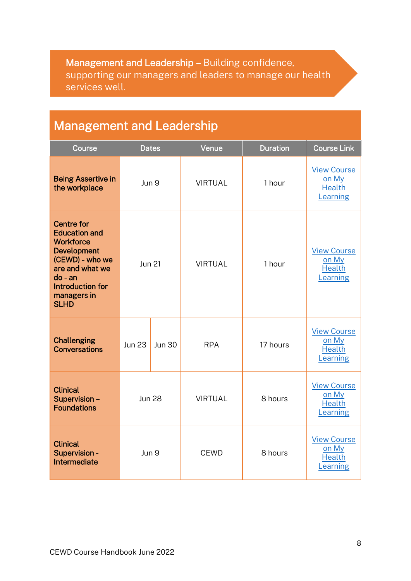<span id="page-7-0"></span>Management and Leadership – Building confidence, supporting our managers and leaders to manage our health services well.

# Management and Leadership

| Course                                                                                                                                                                                          |               | <b>Dates</b>  | Venue          | <b>Duration</b> | <b>Course Link</b>                                       |
|-------------------------------------------------------------------------------------------------------------------------------------------------------------------------------------------------|---------------|---------------|----------------|-----------------|----------------------------------------------------------|
| <b>Being Assertive in</b><br>the workplace                                                                                                                                                      | Jun 9         |               | <b>VIRTUAL</b> | 1 hour          | <b>View Course</b><br>on My<br><b>Health</b><br>Learning |
| <b>Centre for</b><br><b>Education and</b><br><b>Workforce</b><br><b>Development</b><br>(CEWD) - who we<br>are and what we<br>$do - an$<br><b>Introduction for</b><br>managers in<br><b>SLHD</b> | <b>Jun 21</b> |               | <b>VIRTUAL</b> | 1 hour          | <b>View Course</b><br>on My<br><b>Health</b><br>Learning |
| <b>Challenging</b><br><b>Conversations</b>                                                                                                                                                      | <b>Jun 23</b> | <b>Jun 30</b> | <b>RPA</b>     | 17 hours        | <b>View Course</b><br>on My<br><b>Health</b><br>Learning |
| <b>Clinical</b><br>Supervision -<br><b>Foundations</b>                                                                                                                                          | <b>Jun 28</b> |               | <b>VIRTUAL</b> | 8 hours         | <b>View Course</b><br>on My<br><b>Health</b><br>Learning |
| <b>Clinical</b><br>Supervision -<br>Intermediate                                                                                                                                                | Jun 9         |               | <b>CEWD</b>    | 8 hours         | <b>View Course</b><br>on My<br><b>Health</b><br>Learning |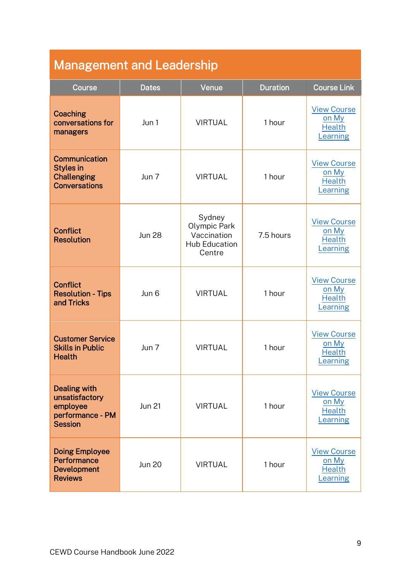| <b>Management and Leadership</b>                                                        |               |                                                                         |                 |                                                                 |  |  |  |  |
|-----------------------------------------------------------------------------------------|---------------|-------------------------------------------------------------------------|-----------------|-----------------------------------------------------------------|--|--|--|--|
| Course                                                                                  | <b>Dates</b>  | Venue                                                                   | <b>Duration</b> | <b>Course Link</b>                                              |  |  |  |  |
| <b>Coaching</b><br>conversations for<br>managers                                        | Jun 1         | <b>VIRTUAL</b>                                                          | 1 hour          | <b>View Course</b><br>on My<br><b>Health</b><br>Learning        |  |  |  |  |
| Communication<br><b>Styles in</b><br><b>Challenging</b><br><b>Conversations</b>         | Jun 7         | <b>VIRTUAL</b>                                                          | 1 hour          | <b>View Course</b><br>on My<br><b>Health</b><br>Learning        |  |  |  |  |
| <b>Conflict</b><br><b>Resolution</b>                                                    | <b>Jun 28</b> | Sydney<br>Olympic Park<br>Vaccination<br><b>Hub Education</b><br>Centre | 7.5 hours       | <b>View Course</b><br>on My<br><b>Health</b><br>Learning        |  |  |  |  |
| <b>Conflict</b><br><b>Resolution - Tips</b><br>and Tricks                               | Jun 6         | <b>VIRTUAL</b>                                                          | 1 hour          | <b>View Course</b><br>on My<br><b>Health</b><br>Learning        |  |  |  |  |
| <b>Customer Service</b><br><b>Skills in Public</b><br><b>Health</b>                     | Jun 7         | <b>VIRTUAL</b>                                                          | 1 hour          | <b>View Course</b><br>on My<br><b>Health</b><br>Learning        |  |  |  |  |
| <b>Dealing with</b><br>unsatisfactory<br>employee<br>performance - PM<br><b>Session</b> | <b>Jun 21</b> | <b>VIRTUAL</b>                                                          | 1 hour          | <b>View Course</b><br><u>on My</u><br><b>Health</b><br>Learning |  |  |  |  |
| <b>Doing Employee</b><br>Performance<br>Development<br><b>Reviews</b>                   | <b>Jun 20</b> | <b>VIRTUAL</b>                                                          | 1 hour          | <b>View Course</b><br>on My<br><b>Health</b><br>earning         |  |  |  |  |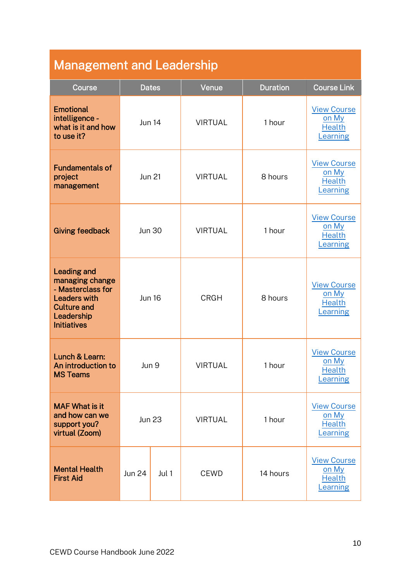| <b>Management and Leadership</b>                                                                                                            |               |              |                |                 |                                                          |  |  |  |
|---------------------------------------------------------------------------------------------------------------------------------------------|---------------|--------------|----------------|-----------------|----------------------------------------------------------|--|--|--|
| Course                                                                                                                                      |               | <b>Dates</b> | Venue          | <b>Duration</b> | <b>Course Link</b>                                       |  |  |  |
| <b>Emotional</b><br>intelligence -<br>what is it and how<br>to use it?                                                                      | <b>Jun 14</b> |              | <b>VIRTUAL</b> | 1 hour          | <b>View Course</b><br>on My<br><b>Health</b><br>Learning |  |  |  |
| <b>Fundamentals of</b><br>project<br>management                                                                                             | <b>Jun 21</b> |              | <b>VIRTUAL</b> | 8 hours         | <b>View Course</b><br>on My<br><b>Health</b><br>Learning |  |  |  |
| <b>Giving feedback</b>                                                                                                                      | <b>Jun 30</b> |              | <b>VIRTUAL</b> | 1 hour          | <b>View Course</b><br>on My<br><b>Health</b><br>Learning |  |  |  |
| <b>Leading and</b><br>managing change<br>- Masterclass for<br><b>Leaders with</b><br><b>Culture and</b><br>Leadership<br><b>Initiatives</b> | <b>Jun 16</b> |              | <b>CRGH</b>    | 8 hours         | <b>View Course</b><br>on My<br><b>Health</b><br>earning  |  |  |  |
| Lunch & Learn:<br>An introduction to<br><b>MS Teams</b>                                                                                     | Jun 9         |              | <b>VIRTUAL</b> | 1 hour          | <b>View Course</b><br>on My<br><b>Health</b><br>Learning |  |  |  |
| <b>MAF What is it</b><br>and how can we<br>support you?<br>virtual (Zoom)                                                                   | <b>Jun 23</b> |              | <b>VIRTUAL</b> | 1 hour          | <b>View Course</b><br>on My<br><b>Health</b><br>Learning |  |  |  |
| <b>Mental Health</b><br><b>First Aid</b>                                                                                                    | <b>Jun 24</b> | Jul 1        | <b>CEWD</b>    | 14 hours        | <b>View Course</b><br>on My<br><b>Health</b><br>Learning |  |  |  |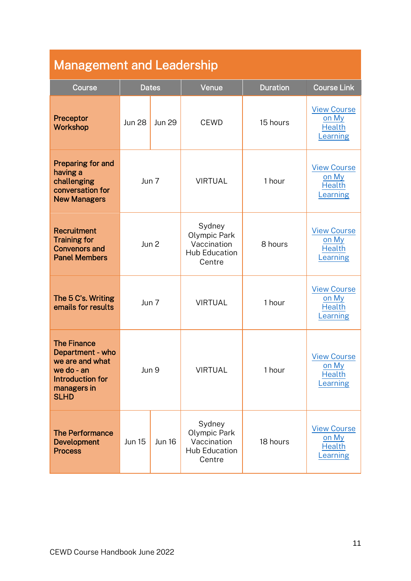| <b>Management and Leadership</b>                                                                                          |               |               |                                                                         |                 |                                                          |  |  |
|---------------------------------------------------------------------------------------------------------------------------|---------------|---------------|-------------------------------------------------------------------------|-----------------|----------------------------------------------------------|--|--|
| Course                                                                                                                    |               | <b>Dates</b>  | Venue                                                                   | <b>Duration</b> | <b>Course Link</b>                                       |  |  |
| Preceptor<br>Workshop                                                                                                     | <b>Jun 28</b> | <b>Jun 29</b> | <b>CEWD</b>                                                             | 15 hours        | <b>View Course</b><br>on My<br><b>Health</b><br>earning  |  |  |
| Preparing for and<br>having a<br>challenging<br>conversation for<br><b>New Managers</b>                                   | Jun 7         |               | <b>VIRTUAL</b>                                                          | 1 hour          | <b>View Course</b><br>on My<br><b>Health</b><br>Learning |  |  |
| <b>Recruitment</b><br><b>Training for</b><br><b>Convenors and</b><br><b>Panel Members</b>                                 | Jun 2         |               | Sydney<br>Olympic Park<br>Vaccination<br><b>Hub Education</b><br>Centre | 8 hours         | <b>View Course</b><br>on My<br><b>Health</b><br>earning  |  |  |
| The 5 C's. Writing<br>emails for results                                                                                  | Jun 7         |               | <b>VIRTUAL</b>                                                          | 1 hour          | <b>View Course</b><br>on My<br><b>Health</b><br>earning  |  |  |
| <b>The Finance</b><br>Department - who<br>we are and what<br>we do - an<br>Introduction for<br>managers in<br><b>SLHD</b> | Jun 9         |               | <b>VIRTUAL</b>                                                          | 1 hour          | <b>View Course</b><br>on My<br><b>Health</b><br>Learning |  |  |
| <b>The Performance</b><br>Development<br><b>Process</b>                                                                   | <b>Jun 15</b> | <b>Jun 16</b> | Sydney<br>Olympic Park<br>Vaccination<br><b>Hub Education</b><br>Centre | 18 hours        | <b>View Course</b><br>on My<br><b>Health</b><br>Learning |  |  |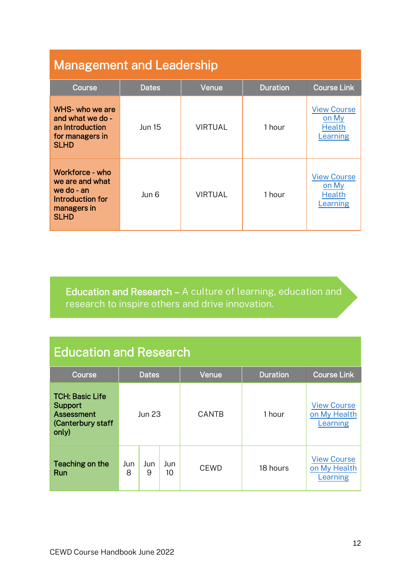## <span id="page-11-0"></span>Management and Leadership

| Course                                                                                               | <b>Dates</b>  | Venue          | <b>Duration</b> | <b>Course Link</b>                                       |
|------------------------------------------------------------------------------------------------------|---------------|----------------|-----------------|----------------------------------------------------------|
| WHS- who we are<br>and what we do -<br>an Introduction<br>for managers in<br><b>SLHD</b>             | <b>Jun 15</b> | <b>VIRTUAL</b> | 1 hour          | <b>View Course</b><br>on My<br><b>Health</b><br>Learning |
| Workforce - who<br>we are and what<br>we do - $an$<br>Introduction for<br>managers in<br><b>SLHD</b> | Jun 6         | <b>VIRTUAL</b> | 1 hour          | <b>View Course</b><br>on My<br><b>Health</b><br>Learning |

Education and Research – A culture of learning, education and research to inspire others and drive innovation.

## Education and Research

| Course                                                                                      | Dates    |          |           | Venue        | <b>Duration</b> | <b>Course Link</b>                             |
|---------------------------------------------------------------------------------------------|----------|----------|-----------|--------------|-----------------|------------------------------------------------|
| <b>TCH: Basic Life</b><br><b>Support</b><br><b>Assessment</b><br>(Canterbury staff<br>only) | Jun 23   |          |           | <b>CANTB</b> | 1 hour          | <b>View Course</b><br>on My Health<br>Learning |
| Teaching on the<br>Run                                                                      | Jun<br>8 | Jun<br>9 | Jun<br>10 | <b>CEWD</b>  | 18 hours        | <b>View Course</b><br>on My Health<br>Learning |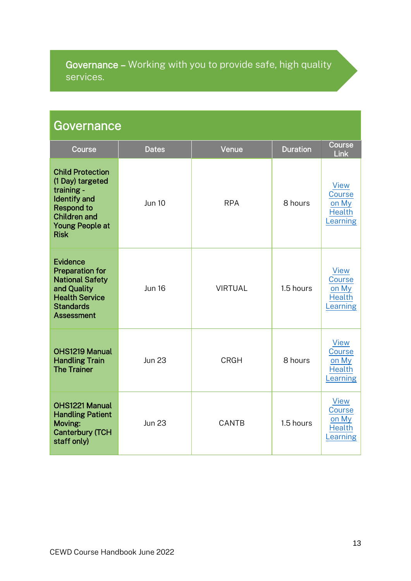## <span id="page-12-0"></span>Governance – Working with you to provide safe, high quality services.

## **Governance**

| Course                                                                                                                                                                | <b>Dates</b>  | Venue          | <b>Duration</b> | Course<br>Link                                              |
|-----------------------------------------------------------------------------------------------------------------------------------------------------------------------|---------------|----------------|-----------------|-------------------------------------------------------------|
| <b>Child Protection</b><br>(1 Day) targeted<br>training -<br><b>Identify and</b><br><b>Respond to</b><br><b>Children and</b><br><b>Young People at</b><br><b>Risk</b> | <b>Jun 10</b> | <b>RPA</b>     | 8 hours         | <b>View</b><br>Course<br>on My<br><b>Health</b><br>Learning |
| <b>Evidence</b><br><b>Preparation for</b><br><b>National Safety</b><br>and Quality<br><b>Health Service</b><br><b>Standards</b><br><b>Assessment</b>                  | <b>Jun 16</b> | <b>VIRTUAL</b> | 1.5 hours       | <b>View</b><br>Course<br>on My<br><b>Health</b><br>Learning |
| OHS1219 Manual<br><b>Handling Train</b><br><b>The Trainer</b>                                                                                                         | <b>Jun 23</b> | <b>CRGH</b>    | 8 hours         | <b>View</b><br>Course<br>on My<br><b>Health</b><br>Learning |
| OHS1221 Manual<br><b>Handling Patient</b><br>Moving:<br><b>Canterbury (TCH</b><br>staff only)                                                                         | <b>Jun 23</b> | CANTB          | 1.5 hours       | View<br>Course<br>on My<br><b>Health</b><br>Learning        |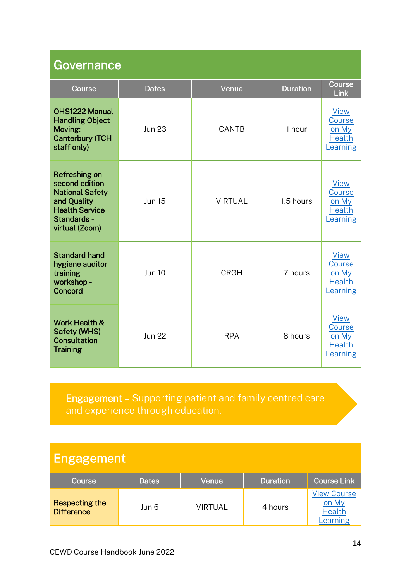<span id="page-13-0"></span>

| Governance                                                                                                                                |               |                |                 |                                                             |  |  |  |  |
|-------------------------------------------------------------------------------------------------------------------------------------------|---------------|----------------|-----------------|-------------------------------------------------------------|--|--|--|--|
| Course                                                                                                                                    | <b>Dates</b>  | Venue          | <b>Duration</b> | Course<br>Link                                              |  |  |  |  |
| OHS1222 Manual<br><b>Handling Object</b><br>Moving:<br><b>Canterbury (TCH</b><br>staff only)                                              | <b>Jun 23</b> | CANTB          | 1 hour          | <b>View</b><br>Course<br>on My<br><b>Health</b><br>Learning |  |  |  |  |
| <b>Refreshing on</b><br>second edition<br><b>National Safety</b><br>and Quality<br><b>Health Service</b><br>Standards -<br>virtual (Zoom) | <b>Jun 15</b> | <b>VIRTUAL</b> | 1.5 hours       | <b>View</b><br>Course<br>on My<br><b>Health</b><br>Learning |  |  |  |  |
| <b>Standard hand</b><br>hygiene auditor<br>training<br>workshop -<br>Concord                                                              | <b>Jun 10</b> | <b>CRGH</b>    | 7 hours         | <b>View</b><br>Course<br>on My<br><b>Health</b><br>Learning |  |  |  |  |
| <b>Work Health &amp;</b><br><b>Safety (WHS)</b><br><b>Consultation</b><br><b>Training</b>                                                 | <b>Jun 22</b> | <b>RPA</b>     | 8 hours         | <b>View</b><br>Course<br>on My<br><b>Health</b><br>Learning |  |  |  |  |

Engagement – Supporting patient and family centred care and experience through education.

# Engagement

| <b>Course</b>                              | <b>Dates</b> | Venue   | <b>Duration</b> | <b>Course Link</b>                                       |
|--------------------------------------------|--------------|---------|-----------------|----------------------------------------------------------|
| <b>Respecting the</b><br><b>Difference</b> | Jun 6        | VIRTUAL | 4 hours         | <b>View Course</b><br>on My<br><b>Health</b><br>Learning |